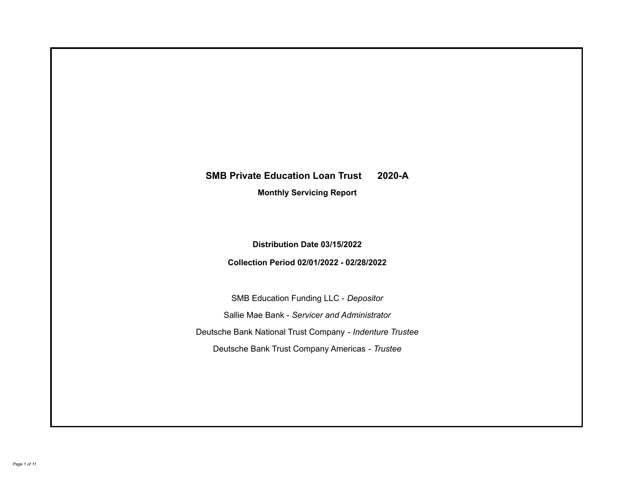# **SMB Private Education Loan Trust 2020-A**

**Monthly Servicing Report**

**Distribution Date 03/15/2022**

**Collection Period 02/01/2022 - 02/28/2022**

SMB Education Funding LLC - *Depositor* Sallie Mae Bank - *Servicer and Administrator* Deutsche Bank National Trust Company - *Indenture Trustee* Deutsche Bank Trust Company Americas - *Trustee*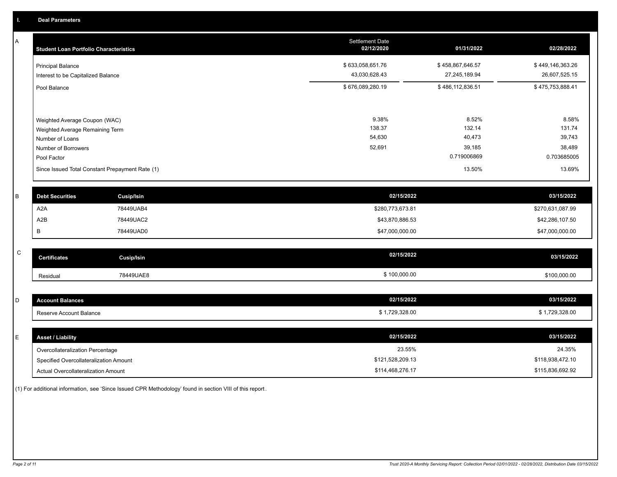A

| A | <b>Student Loan Portfolio Characteristics</b>                                                              |                                                 | Settlement Date<br>02/12/2020       | 01/31/2022                                         | 02/28/2022                          |
|---|------------------------------------------------------------------------------------------------------------|-------------------------------------------------|-------------------------------------|----------------------------------------------------|-------------------------------------|
|   | <b>Principal Balance</b><br>Interest to be Capitalized Balance                                             |                                                 | \$633,058,651.76<br>43,030,628.43   | \$458,867,646.57<br>27,245,189.94                  | \$449,146,363.26<br>26,607,525.15   |
|   | Pool Balance                                                                                               |                                                 | \$676,089,280.19                    | \$486,112,836.51                                   | \$475,753,888.41                    |
|   | Weighted Average Coupon (WAC)<br>Weighted Average Remaining Term<br>Number of Loans<br>Number of Borrowers |                                                 | 9.38%<br>138.37<br>54,630<br>52,691 | 8.52%<br>132.14<br>40,473<br>39,185<br>0.719006869 | 8.58%<br>131.74<br>39,743<br>38,489 |
|   | Pool Factor                                                                                                | Since Issued Total Constant Prepayment Rate (1) |                                     | 13.50%                                             | 0.703685005<br>13.69%               |
| B | <b>Debt Securities</b>                                                                                     | <b>Cusip/Isin</b>                               | 02/15/2022                          |                                                    | 03/15/2022                          |
|   | A <sub>2</sub> A                                                                                           | 78449UAB4                                       | \$280,773,673.81                    |                                                    | \$270,631,087.99                    |
|   | A2B                                                                                                        | 78449UAC2                                       | \$43,870,886.53                     |                                                    | \$42,286,107.50                     |
|   | В                                                                                                          | 78449UAD0                                       | \$47,000,000.00                     |                                                    | \$47,000,000.00                     |

| <b>Certificates</b> | Cusip/Isin | 02/15/2022   | 03/15/2022   |
|---------------------|------------|--------------|--------------|
| Residual            | 78449UAE8  | \$100,000.00 | \$100,000.00 |

| <b>Account Balances</b> | 02/15/2022   | 03/15/2022   |
|-------------------------|--------------|--------------|
| Reserve Account Balance | 1,729,328.00 | 1,729,328.00 |

| E. | <b>Asset / Liability</b>               | 02/15/2022       | 03/15/2022       |
|----|----------------------------------------|------------------|------------------|
|    | Overcollateralization Percentage       | 23.55%           | 24.35%           |
|    | Specified Overcollateralization Amount | \$121,528,209.13 | \$118,938,472.10 |
|    | Actual Overcollateralization Amount    | \$114,468,276.17 | \$115,836,692.92 |

(1) For additional information, see 'Since Issued CPR Methodology' found in section VIII of this report .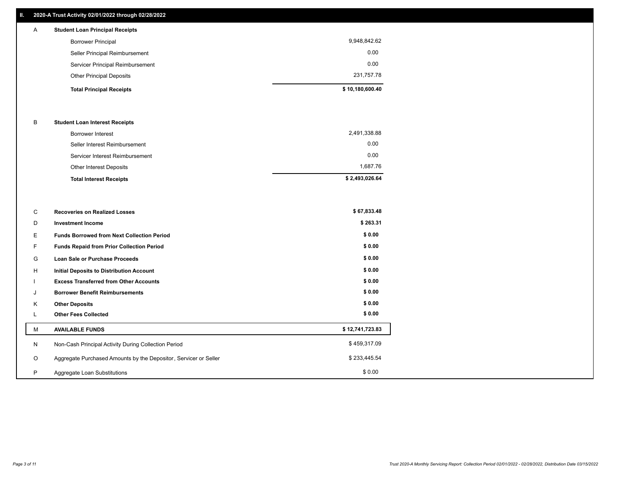## **II. 2020-A Trust Activity 02/01/2022 through 02/28/2022**

| A | <b>Student Loan Principal Receipts</b> |                 |
|---|----------------------------------------|-----------------|
|   | <b>Borrower Principal</b>              | 9,948,842.62    |
|   | Seller Principal Reimbursement         | 0.00            |
|   | Servicer Principal Reimbursement       | 0.00            |
|   | <b>Other Principal Deposits</b>        | 231,757.78      |
|   | <b>Total Principal Receipts</b>        | \$10,180,600.40 |

## B **Student Loan Interest Receipts**

| <b>Total Interest Receipts</b>  | \$2,493,026.64 |
|---------------------------------|----------------|
| Other Interest Deposits         | 1.687.76       |
| Servicer Interest Reimbursement | 0.00           |
| Seller Interest Reimbursement   | 0.00           |
| Borrower Interest               | 2,491,338.88   |

| C       | <b>Recoveries on Realized Losses</b>                             | \$67,833.48     |
|---------|------------------------------------------------------------------|-----------------|
| D       | <b>Investment Income</b>                                         | \$263.31        |
| Ε.      | <b>Funds Borrowed from Next Collection Period</b>                | \$0.00          |
| F.      | <b>Funds Repaid from Prior Collection Period</b>                 | \$0.00          |
| G       | Loan Sale or Purchase Proceeds                                   | \$0.00          |
| H       | Initial Deposits to Distribution Account                         | \$0.00          |
|         | <b>Excess Transferred from Other Accounts</b>                    | \$0.00          |
| J       | <b>Borrower Benefit Reimbursements</b>                           | \$0.00          |
| K       | <b>Other Deposits</b>                                            | \$0.00          |
|         | <b>Other Fees Collected</b>                                      | \$0.00          |
| M       | <b>AVAILABLE FUNDS</b>                                           | \$12,741,723.83 |
| N       | Non-Cash Principal Activity During Collection Period             | \$459,317.09    |
| $\circ$ | Aggregate Purchased Amounts by the Depositor, Servicer or Seller | \$233,445.54    |
| P       | Aggregate Loan Substitutions                                     | \$0.00          |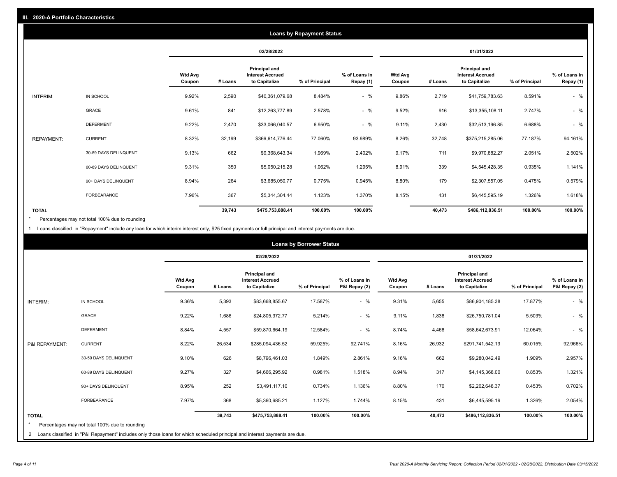|                   | <b>Loans by Repayment Status</b> |                   |            |                                                           |                |                            |                          |         |                                                           |                |                            |
|-------------------|----------------------------------|-------------------|------------|-----------------------------------------------------------|----------------|----------------------------|--------------------------|---------|-----------------------------------------------------------|----------------|----------------------------|
|                   |                                  |                   | 02/28/2022 |                                                           |                | 01/31/2022                 |                          |         |                                                           |                |                            |
|                   |                                  | Wtd Avg<br>Coupon | # Loans    | Principal and<br><b>Interest Accrued</b><br>to Capitalize | % of Principal | % of Loans in<br>Repay (1) | <b>Wtd Avg</b><br>Coupon | # Loans | Principal and<br><b>Interest Accrued</b><br>to Capitalize | % of Principal | % of Loans in<br>Repay (1) |
| INTERIM:          | IN SCHOOL                        | 9.92%             | 2,590      | \$40,361,079.68                                           | 8.484%         | $-$ %                      | 9.86%                    | 2,719   | \$41,759,783.63                                           | 8.591%         | $-$ %                      |
|                   | GRACE                            | 9.61%             | 841        | \$12,263,777.89                                           | 2.578%         | $-$ %                      | 9.52%                    | 916     | \$13,355,108.11                                           | 2.747%         | $-$ %                      |
|                   | <b>DEFERMENT</b>                 | 9.22%             | 2,470      | \$33,066,040.57                                           | 6.950%         | $-$ %                      | 9.11%                    | 2,430   | \$32,513,196.85                                           | 6.688%         | $-$ %                      |
| <b>REPAYMENT:</b> | <b>CURRENT</b>                   | 8.32%             | 32,199     | \$366,614,776.44                                          | 77.060%        | 93.989%                    | 8.26%                    | 32,748  | \$375,215,285.06                                          | 77.187%        | 94.161%                    |
|                   | 30-59 DAYS DELINQUENT            | 9.13%             | 662        | \$9,368,643.34                                            | 1.969%         | 2.402%                     | 9.17%                    | 711     | \$9,970,882.27                                            | 2.051%         | 2.502%                     |
|                   | 60-89 DAYS DELINQUENT            | 9.31%             | 350        | \$5,050,215.28                                            | 1.062%         | 1.295%                     | 8.91%                    | 339     | \$4,545,428.35                                            | 0.935%         | 1.141%                     |
|                   | 90+ DAYS DELINQUENT              | 8.94%             | 264        | \$3,685,050.77                                            | 0.775%         | 0.945%                     | 8.80%                    | 179     | \$2,307,557.05                                            | 0.475%         | 0.579%                     |
|                   | <b>FORBEARANCE</b>               | 7.96%             | 367        | \$5,344,304.44                                            | 1.123%         | 1.370%                     | 8.15%                    | 431     | \$6,445,595.19                                            | 1.326%         | 1.618%                     |
| <b>TOTAL</b>      |                                  |                   | 39,743     | \$475,753,888.41                                          | 100.00%        | 100.00%                    |                          | 40,473  | \$486,112,836.51                                          | 100.00%        | 100.00%                    |

Percentages may not total 100% due to rounding \*

1 Loans classified in "Repayment" include any loan for which interim interest only, \$25 fixed payments or full principal and interest payments are due.

| <b>Loans by Borrower Status</b> |                                                                                                                              |                          |         |                                                                  |                |                                |                          |         |                                                                  |                |                                |
|---------------------------------|------------------------------------------------------------------------------------------------------------------------------|--------------------------|---------|------------------------------------------------------------------|----------------|--------------------------------|--------------------------|---------|------------------------------------------------------------------|----------------|--------------------------------|
|                                 |                                                                                                                              |                          |         | 02/28/2022                                                       |                |                                | 01/31/2022               |         |                                                                  |                |                                |
|                                 |                                                                                                                              | <b>Wtd Avg</b><br>Coupon | # Loans | <b>Principal and</b><br><b>Interest Accrued</b><br>to Capitalize | % of Principal | % of Loans in<br>P&I Repay (2) | <b>Wtd Avg</b><br>Coupon | # Loans | <b>Principal and</b><br><b>Interest Accrued</b><br>to Capitalize | % of Principal | % of Loans in<br>P&I Repay (2) |
| <b>INTERIM:</b>                 | IN SCHOOL                                                                                                                    | 9.36%                    | 5,393   | \$83,668,855.67                                                  | 17.587%        | $-$ %                          | 9.31%                    | 5,655   | \$86,904,185.38                                                  | 17.877%        | $-$ %                          |
|                                 | <b>GRACE</b>                                                                                                                 | 9.22%                    | 1,686   | \$24,805,372.77                                                  | 5.214%         | $-$ %                          | 9.11%                    | 1,838   | \$26,750,781.04                                                  | 5.503%         | $-$ %                          |
|                                 | <b>DEFERMENT</b>                                                                                                             | 8.84%                    | 4,557   | \$59,870,664.19                                                  | 12.584%        | $-$ %                          | 8.74%                    | 4,468   | \$58,642,673.91                                                  | 12.064%        | $-$ %                          |
| P&I REPAYMENT:                  | <b>CURRENT</b>                                                                                                               | 8.22%                    | 26,534  | \$285,094,436.52                                                 | 59.925%        | 92.741%                        | 8.16%                    | 26,932  | \$291,741,542.13                                                 | 60.015%        | 92.966%                        |
|                                 | 30-59 DAYS DELINQUENT                                                                                                        | 9.10%                    | 626     | \$8,796,461.03                                                   | 1.849%         | 2.861%                         | 9.16%                    | 662     | \$9,280,042.49                                                   | 1.909%         | 2.957%                         |
|                                 | 60-89 DAYS DELINQUENT                                                                                                        | 9.27%                    | 327     | \$4,666,295.92                                                   | 0.981%         | 1.518%                         | 8.94%                    | 317     | \$4,145,368.00                                                   | 0.853%         | 1.321%                         |
|                                 | 90+ DAYS DELINQUENT                                                                                                          | 8.95%                    | 252     | \$3,491,117.10                                                   | 0.734%         | 1.136%                         | 8.80%                    | 170     | \$2,202,648.37                                                   | 0.453%         | 0.702%                         |
|                                 | FORBEARANCE                                                                                                                  | 7.97%                    | 368     | \$5,360,685.21                                                   | 1.127%         | 1.744%                         | 8.15%                    | 431     | \$6,445,595.19                                                   | 1.326%         | 2.054%                         |
| <b>TOTAL</b>                    |                                                                                                                              |                          | 39,743  | \$475,753,888.41                                                 | 100.00%        | 100.00%                        |                          | 40,473  | \$486,112,836.51                                                 | 100.00%        | 100.00%                        |
|                                 | Percentages may not total 100% due to rounding                                                                               |                          |         |                                                                  |                |                                |                          |         |                                                                  |                |                                |
|                                 | 2 Loans classified in "P&I Repayment" includes only those loans for which scheduled principal and interest payments are due. |                          |         |                                                                  |                |                                |                          |         |                                                                  |                |                                |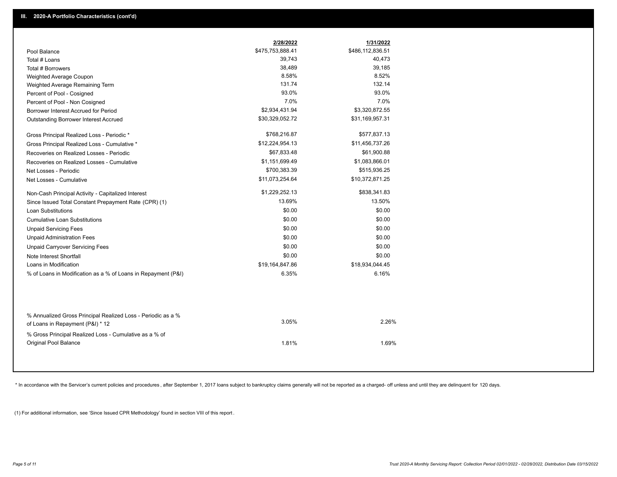|                                                                                                  | 2/28/2022        | 1/31/2022        |
|--------------------------------------------------------------------------------------------------|------------------|------------------|
| Pool Balance                                                                                     | \$475,753,888.41 | \$486,112,836.51 |
| Total # Loans                                                                                    | 39,743           | 40,473           |
| Total # Borrowers                                                                                | 38,489           | 39,185           |
| Weighted Average Coupon                                                                          | 8.58%            | 8.52%            |
| Weighted Average Remaining Term                                                                  | 131.74           | 132.14           |
| Percent of Pool - Cosigned                                                                       | 93.0%            | 93.0%            |
| Percent of Pool - Non Cosigned                                                                   | 7.0%             | 7.0%             |
| Borrower Interest Accrued for Period                                                             | \$2,934,431.94   | \$3,320,872.55   |
| Outstanding Borrower Interest Accrued                                                            | \$30,329,052.72  | \$31,169,957.31  |
| Gross Principal Realized Loss - Periodic *                                                       | \$768,216.87     | \$577,837.13     |
| Gross Principal Realized Loss - Cumulative *                                                     | \$12,224,954.13  | \$11,456,737.26  |
| Recoveries on Realized Losses - Periodic                                                         | \$67,833.48      | \$61,900.88      |
| Recoveries on Realized Losses - Cumulative                                                       | \$1,151,699.49   | \$1,083,866.01   |
| Net Losses - Periodic                                                                            | \$700,383.39     | \$515,936.25     |
| Net Losses - Cumulative                                                                          | \$11,073,254.64  | \$10,372,871.25  |
| Non-Cash Principal Activity - Capitalized Interest                                               | \$1,229,252.13   | \$838,341.83     |
| Since Issued Total Constant Prepayment Rate (CPR) (1)                                            | 13.69%           | 13.50%           |
| <b>Loan Substitutions</b>                                                                        | \$0.00           | \$0.00           |
| <b>Cumulative Loan Substitutions</b>                                                             | \$0.00           | \$0.00           |
| <b>Unpaid Servicing Fees</b>                                                                     | \$0.00           | \$0.00           |
| <b>Unpaid Administration Fees</b>                                                                | \$0.00           | \$0.00           |
| <b>Unpaid Carryover Servicing Fees</b>                                                           | \$0.00           | \$0.00           |
| Note Interest Shortfall                                                                          | \$0.00           | \$0.00           |
| Loans in Modification                                                                            | \$19,164,847.86  | \$18,934,044.45  |
| % of Loans in Modification as a % of Loans in Repayment (P&I)                                    | 6.35%            | 6.16%            |
| % Annualized Gross Principal Realized Loss - Periodic as a %<br>of Loans in Repayment (P&I) * 12 | 3.05%            | 2.26%            |
|                                                                                                  |                  |                  |
| % Gross Principal Realized Loss - Cumulative as a % of<br><b>Original Pool Balance</b>           | 1.81%            | 1.69%            |

\* In accordance with the Servicer's current policies and procedures, after September 1, 2017 loans subject to bankruptcy claims generally will not be reported as a charged- off unless and until they are delinquent for 120

(1) For additional information, see 'Since Issued CPR Methodology' found in section VIII of this report .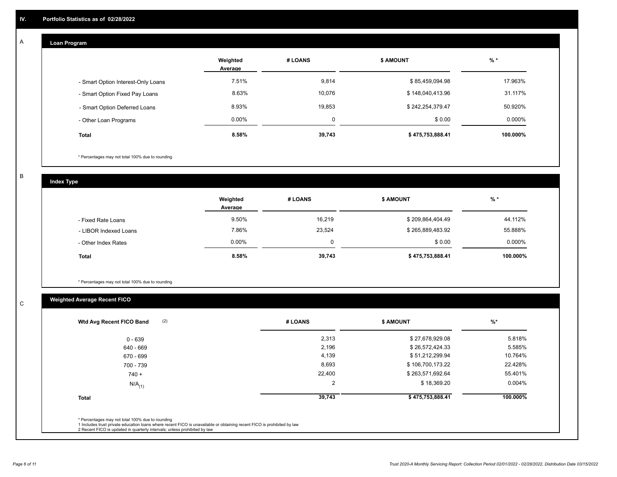# **Loan Program**

A

|                                    | Weighted<br>Average | # LOANS  | <b>\$ AMOUNT</b> | $%$ *    |
|------------------------------------|---------------------|----------|------------------|----------|
| - Smart Option Interest-Only Loans | 7.51%               | 9,814    | \$85,459,094.98  | 17.963%  |
| - Smart Option Fixed Pay Loans     | 8.63%               | 10.076   | \$148,040,413.96 | 31.117%  |
| - Smart Option Deferred Loans      | 8.93%               | 19,853   | \$242,254,379.47 | 50.920%  |
| - Other Loan Programs              | $0.00\%$            | $\Omega$ | \$0.00           | 0.000%   |
| <b>Total</b>                       | 8.58%               | 39,743   | \$475,753,888.41 | 100.000% |

\* Percentages may not total 100% due to rounding

B

C

**Index Type**

|                       | Weighted<br>Average | # LOANS  | <b>\$ AMOUNT</b> | $%$ *     |
|-----------------------|---------------------|----------|------------------|-----------|
| - Fixed Rate Loans    | 9.50%               | 16,219   | \$209,864,404.49 | 44.112%   |
| - LIBOR Indexed Loans | 7.86%               | 23,524   | \$265,889,483.92 | 55.888%   |
| - Other Index Rates   | 0.00%               | $\Omega$ | \$0.00           | $0.000\%$ |
| <b>Total</b>          | 8.58%               | 39,743   | \$475,753,888.41 | 100.000%  |

\* Percentages may not total 100% due to rounding

# **Weighted Average Recent FICO**

| $0 - 639$<br>640 - 669 | 2,313<br>2,196 | \$27,678,929.08  | 5.818%    |
|------------------------|----------------|------------------|-----------|
|                        |                |                  |           |
|                        |                | \$26,572,424.33  | 5.585%    |
| 670 - 699              | 4,139          | \$51,212,299.94  | 10.764%   |
| 700 - 739              | 8,693          | \$106,700,173.22 | 22.428%   |
| $740 +$                | 22,400         | \$263,571,692.64 | 55.401%   |
| $N/A$ <sub>(1)</sub>   | 2              | \$18,369.20      | $0.004\%$ |
| <b>Total</b>           | 39,743         | \$475,753,888.41 | 100.000%  |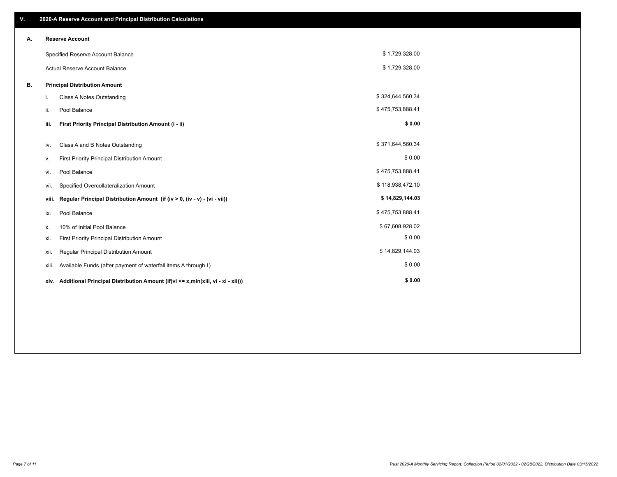| V. |       | 2020-A Reserve Account and Principal Distribution Calculations                       |                  |  |
|----|-------|--------------------------------------------------------------------------------------|------------------|--|
| Α. |       | <b>Reserve Account</b>                                                               |                  |  |
|    |       | Specified Reserve Account Balance                                                    | \$1,729,328.00   |  |
|    |       | Actual Reserve Account Balance                                                       | \$1,729,328.00   |  |
| В. |       | <b>Principal Distribution Amount</b>                                                 |                  |  |
|    | i.    | <b>Class A Notes Outstanding</b>                                                     | \$324,644,560.34 |  |
|    | ii.   | Pool Balance                                                                         | \$475,753,888.41 |  |
|    | iii.  | First Priority Principal Distribution Amount (i - ii)                                | \$0.00           |  |
|    | iv.   | Class A and B Notes Outstanding                                                      | \$371,644,560.34 |  |
|    | ۷.    | <b>First Priority Principal Distribution Amount</b>                                  | \$0.00           |  |
|    | vi.   | Pool Balance                                                                         | \$475,753,888.41 |  |
|    | vii.  | Specified Overcollateralization Amount                                               | \$118,938,472.10 |  |
|    | viii. | Regular Principal Distribution Amount (if (iv > 0, (iv - v) - (vi - vii))            | \$14,829,144.03  |  |
|    | ix.   | Pool Balance                                                                         | \$475,753,888.41 |  |
|    | х.    | 10% of Initial Pool Balance                                                          | \$67,608,928.02  |  |
|    | xi.   | First Priority Principal Distribution Amount                                         | \$0.00           |  |
|    | xii.  | Regular Principal Distribution Amount                                                | \$14,829,144.03  |  |
|    | xiii. | Available Funds (after payment of waterfall items A through I)                       | \$0.00           |  |
|    |       | xiv. Additional Principal Distribution Amount (if(vi <= x,min(xiii, vi - xi - xii))) | \$0.00           |  |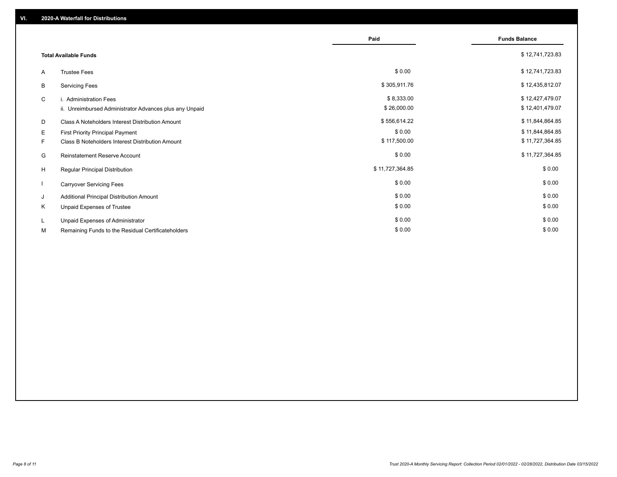|    |                                                         | Paid            | <b>Funds Balance</b> |
|----|---------------------------------------------------------|-----------------|----------------------|
|    | <b>Total Available Funds</b>                            |                 | \$12,741,723.83      |
| A  | <b>Trustee Fees</b>                                     | \$0.00          | \$12,741,723.83      |
| В  | <b>Servicing Fees</b>                                   | \$305,911.76    | \$12,435,812.07      |
| C  | i. Administration Fees                                  | \$8,333.00      | \$12,427,479.07      |
|    | ii. Unreimbursed Administrator Advances plus any Unpaid | \$26,000.00     | \$12,401,479.07      |
| D  | Class A Noteholders Interest Distribution Amount        | \$556,614.22    | \$11,844,864.85      |
| Е  | First Priority Principal Payment                        | \$0.00          | \$11,844,864.85      |
| F. | Class B Noteholders Interest Distribution Amount        | \$117,500.00    | \$11,727,364.85      |
| G  | Reinstatement Reserve Account                           | \$0.00          | \$11,727,364.85      |
| H  | <b>Regular Principal Distribution</b>                   | \$11,727,364.85 | \$0.00               |
|    | <b>Carryover Servicing Fees</b>                         | \$0.00          | \$0.00               |
| J  | Additional Principal Distribution Amount                | \$0.00          | \$0.00               |
| Κ  | Unpaid Expenses of Trustee                              | \$0.00          | \$0.00               |
| L. | Unpaid Expenses of Administrator                        | \$0.00          | \$0.00               |
| М  | Remaining Funds to the Residual Certificateholders      | \$0.00          | \$0.00               |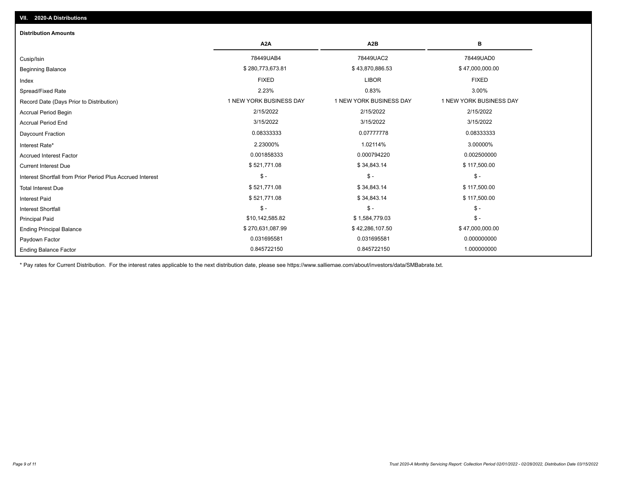| <b>Distribution Amounts</b>                                |                         |                         |                         |
|------------------------------------------------------------|-------------------------|-------------------------|-------------------------|
|                                                            | A <sub>2</sub> A        | A2B                     | в                       |
| Cusip/Isin                                                 | 78449UAB4               | 78449UAC2               | 78449UAD0               |
| <b>Beginning Balance</b>                                   | \$280,773,673.81        | \$43,870,886.53         | \$47,000,000.00         |
| Index                                                      | <b>FIXED</b>            | <b>LIBOR</b>            | <b>FIXED</b>            |
| Spread/Fixed Rate                                          | 2.23%                   | 0.83%                   | 3.00%                   |
| Record Date (Days Prior to Distribution)                   | 1 NEW YORK BUSINESS DAY | 1 NEW YORK BUSINESS DAY | 1 NEW YORK BUSINESS DAY |
| <b>Accrual Period Begin</b>                                | 2/15/2022               | 2/15/2022               | 2/15/2022               |
| <b>Accrual Period End</b>                                  | 3/15/2022               | 3/15/2022               | 3/15/2022               |
| Daycount Fraction                                          | 0.08333333              | 0.07777778              | 0.08333333              |
| Interest Rate*                                             | 2.23000%                | 1.02114%                | 3.00000%                |
| <b>Accrued Interest Factor</b>                             | 0.001858333             | 0.000794220             | 0.002500000             |
| <b>Current Interest Due</b>                                | \$521,771.08            | \$34,843.14             | \$117,500.00            |
| Interest Shortfall from Prior Period Plus Accrued Interest | $\mathsf{\$}$ -         | $\mathsf{\$}$ -         | $\mathsf{\$}$ -         |
| <b>Total Interest Due</b>                                  | \$521,771.08            | \$34,843.14             | \$117,500.00            |
| <b>Interest Paid</b>                                       | \$521,771.08            | \$34,843.14             | \$117,500.00            |
| Interest Shortfall                                         | $$ -$                   | $\frac{1}{2}$           | $$ -$                   |
| <b>Principal Paid</b>                                      | \$10,142,585.82         | \$1,584,779.03          | $\mathsf{\$}$ -         |
| <b>Ending Principal Balance</b>                            | \$270,631,087.99        | \$42,286,107.50         | \$47,000,000.00         |
| Paydown Factor                                             | 0.031695581             | 0.031695581             | 0.000000000             |
| <b>Ending Balance Factor</b>                               | 0.845722150             | 0.845722150             | 1.000000000             |

\* Pay rates for Current Distribution. For the interest rates applicable to the next distribution date, please see https://www.salliemae.com/about/investors/data/SMBabrate.txt.

**VII. 2020-A Distributions**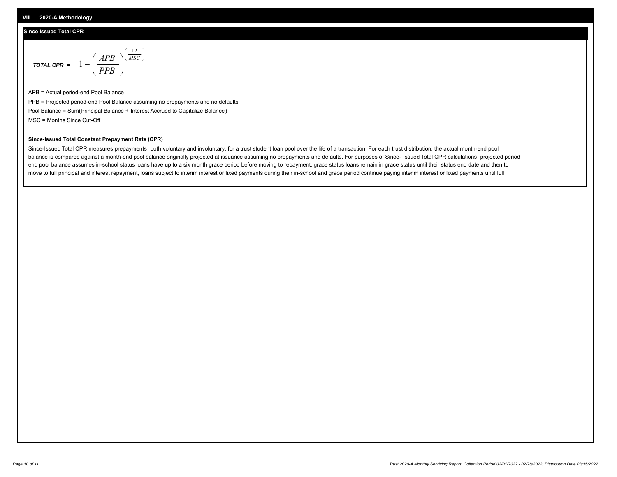### **Since Issued Total CPR**

$$
\text{total CPR} = 1 - \left(\frac{APB}{PPB}\right)^{\left(\frac{12}{MSC}\right)}
$$

APB = Actual period-end Pool Balance PPB = Projected period-end Pool Balance assuming no prepayments and no defaults Pool Balance = Sum(Principal Balance + Interest Accrued to Capitalize Balance) MSC = Months Since Cut-Off

I J Ι

#### **Since-Issued Total Constant Prepayment Rate (CPR)**

Since-Issued Total CPR measures prepayments, both voluntary and involuntary, for a trust student loan pool over the life of a transaction. For each trust distribution, the actual month-end pool balance is compared against a month-end pool balance originally projected at issuance assuming no prepayments and defaults. For purposes of Since- Issued Total CPR calculations, projected period end pool balance assumes in-school status loans have up to a six month grace period before moving to repayment, grace status loans remain in grace status until their status end date and then to move to full principal and interest repayment, loans subject to interim interest or fixed payments during their in-school and grace period continue paying interim interest or fixed payments until full